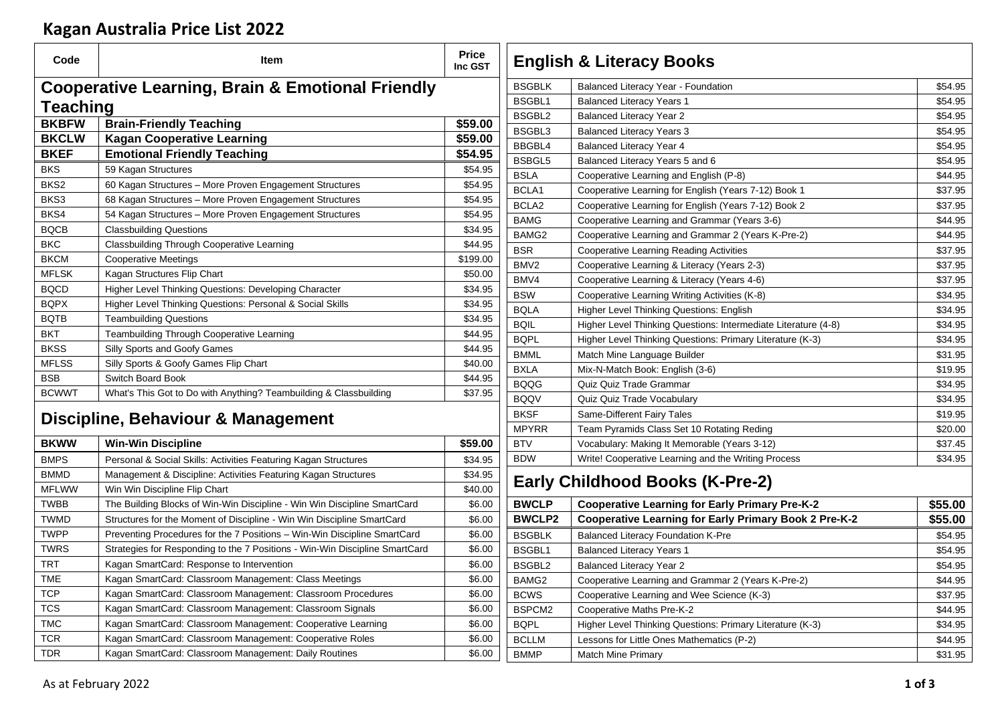## **Kagan Australia Price List 2022**

| Code             | <b>Item</b>                                                                 | <b>Price</b><br>Inc GST |                   | <b>English &amp; Literacy Books</b>                            |         |
|------------------|-----------------------------------------------------------------------------|-------------------------|-------------------|----------------------------------------------------------------|---------|
|                  | <b>Cooperative Learning, Brain &amp; Emotional Friendly</b>                 |                         | <b>BSGBLK</b>     | Balanced Literacy Year - Foundation                            | \$54.95 |
| <b>Teaching</b>  |                                                                             |                         | BSGBL1            | <b>Balanced Literacy Years 1</b>                               | \$54.95 |
| <b>BKBFW</b>     |                                                                             |                         | BSGBL2            | <b>Balanced Literacy Year 2</b>                                | \$54.95 |
|                  | <b>Brain-Friendly Teaching</b>                                              | \$59.00                 | BSGBL3            | <b>Balanced Literacy Years 3</b>                               | \$54.95 |
| <b>BKCLW</b>     | <b>Kagan Cooperative Learning</b>                                           | \$59.00                 | BBGBL4            | <b>Balanced Literacy Year 4</b>                                | \$54.95 |
| <b>BKEF</b>      | <b>Emotional Friendly Teaching</b>                                          | \$54.95                 | BSBGL5            | Balanced Literacy Years 5 and 6                                | \$54.95 |
| <b>BKS</b>       | 59 Kagan Structures                                                         | \$54.95                 | <b>BSLA</b>       | Cooperative Learning and English (P-8)                         | \$44.95 |
| BKS <sub>2</sub> | 60 Kagan Structures - More Proven Engagement Structures                     | \$54.95                 | BCLA1             | Cooperative Learning for English (Years 7-12) Book 1           | \$37.95 |
| BKS3             | 68 Kagan Structures - More Proven Engagement Structures                     | \$54.95                 | BCLA <sub>2</sub> | Cooperative Learning for English (Years 7-12) Book 2           | \$37.95 |
| BKS4             | 54 Kagan Structures - More Proven Engagement Structures                     | \$54.95                 | <b>BAMG</b>       | Cooperative Learning and Grammar (Years 3-6)                   | \$44.95 |
| <b>BQCB</b>      | <b>Classbuilding Questions</b>                                              | \$34.95                 | BAMG <sub>2</sub> | Cooperative Learning and Grammar 2 (Years K-Pre-2)             | \$44.95 |
| <b>BKC</b>       | <b>Classbuilding Through Cooperative Learning</b>                           | \$44.95                 | <b>BSR</b>        | Cooperative Learning Reading Activities                        | \$37.95 |
| <b>BKCM</b>      | <b>Cooperative Meetings</b>                                                 | \$199.00                | BMV <sub>2</sub>  | Cooperative Learning & Literacy (Years 2-3)                    | \$37.95 |
| <b>MFLSK</b>     | Kagan Structures Flip Chart                                                 | \$50.00                 | BMV4              | Cooperative Learning & Literacy (Years 4-6)                    | \$37.95 |
| <b>BQCD</b>      | Higher Level Thinking Questions: Developing Character                       | \$34.95                 | <b>BSW</b>        | Cooperative Learning Writing Activities (K-8)                  | \$34.95 |
| <b>BQPX</b>      | Higher Level Thinking Questions: Personal & Social Skills                   | \$34.95                 | <b>BQLA</b>       | Higher Level Thinking Questions: English                       | \$34.95 |
| <b>BQTB</b>      | <b>Teambuilding Questions</b>                                               | \$34.95                 | <b>BQIL</b>       | Higher Level Thinking Questions: Intermediate Literature (4-8) | \$34.95 |
| <b>BKT</b>       | Teambuilding Through Cooperative Learning                                   | \$44.95                 | <b>BQPL</b>       | Higher Level Thinking Questions: Primary Literature (K-3)      | \$34.95 |
| <b>BKSS</b>      | Silly Sports and Goofy Games                                                | \$44.95                 | <b>BMML</b>       | Match Mine Language Builder                                    | \$31.95 |
| <b>MFLSS</b>     | Silly Sports & Goofy Games Flip Chart                                       | \$40.00                 | <b>BXLA</b>       | Mix-N-Match Book: English (3-6)                                | \$19.95 |
| <b>BSB</b>       | Switch Board Book                                                           | \$44.95                 | <b>BQQG</b>       | Quiz Quiz Trade Grammar                                        | \$34.95 |
| <b>BCWWT</b>     | What's This Got to Do with Anything? Teambuilding & Classbuilding           | \$37.95                 | <b>BQQV</b>       | Quiz Quiz Trade Vocabulary                                     | \$34.95 |
|                  |                                                                             |                         | <b>BKSF</b>       | Same-Different Fairy Tales                                     | \$19.95 |
|                  | Discipline, Behaviour & Management                                          |                         | <b>MPYRR</b>      | Team Pyramids Class Set 10 Rotating Reding                     | \$20.00 |
| <b>BKWW</b>      | <b>Win-Win Discipline</b>                                                   | \$59.00                 | <b>BTV</b>        | Vocabulary: Making It Memorable (Years 3-12)                   | \$37.45 |
| <b>BMPS</b>      | Personal & Social Skills: Activities Featuring Kagan Structures             | \$34.95                 | <b>BDW</b>        | Write! Cooperative Learning and the Writing Process            | \$34.95 |
| <b>BMMD</b>      | Management & Discipline: Activities Featuring Kagan Structures              | \$34.95                 |                   |                                                                |         |
| <b>MFLWW</b>     | Win Win Discipline Flip Chart                                               | \$40.00                 |                   | <b>Early Childhood Books (K-Pre-2)</b>                         |         |
| <b>TWBB</b>      | The Building Blocks of Win-Win Discipline - Win Win Discipline SmartCard    | \$6.00                  | <b>BWCLP</b>      | <b>Cooperative Learning for Early Primary Pre-K-2</b>          | \$55.00 |
| <b>TWMD</b>      | Structures for the Moment of Discipline - Win Win Discipline SmartCard      | \$6.00                  | <b>BWCLP2</b>     | <b>Cooperative Learning for Early Primary Book 2 Pre-K-2</b>   | \$55.00 |
| <b>TWPP</b>      | Preventing Procedures for the 7 Positions - Win-Win Discipline SmartCard    | \$6.00                  | <b>BSGBLK</b>     | Balanced Literacy Foundation K-Pre                             | \$54.95 |
| <b>TWRS</b>      | Strategies for Responding to the 7 Positions - Win-Win Discipline SmartCard | \$6.00                  | <b>BSGBL1</b>     | <b>Balanced Literacy Years 1</b>                               | \$54.95 |
| <b>TRT</b>       | Kagan SmartCard: Response to Intervention                                   | \$6.00                  | BSGBL2            | <b>Balanced Literacy Year 2</b>                                | \$54.95 |
| <b>TME</b>       | Kagan SmartCard: Classroom Management: Class Meetings                       | \$6.00                  | BAMG <sub>2</sub> | Cooperative Learning and Grammar 2 (Years K-Pre-2)             | \$44.95 |
| <b>TCP</b>       | Kagan SmartCard: Classroom Management: Classroom Procedures                 | \$6.00                  | <b>BCWS</b>       | Cooperative Learning and Wee Science (K-3)                     | \$37.95 |
| <b>TCS</b>       | Kagan SmartCard: Classroom Management: Classroom Signals                    | \$6.00                  | BSPCM2            | Cooperative Maths Pre-K-2                                      | \$44.95 |
| <b>TMC</b>       | Kagan SmartCard: Classroom Management: Cooperative Learning                 | \$6.00                  | <b>BQPL</b>       | Higher Level Thinking Questions: Primary Literature (K-3)      | \$34.95 |
| <b>TCR</b>       | Kagan SmartCard: Classroom Management: Cooperative Roles                    | \$6.00                  | <b>BCLLM</b>      | Lessons for Little Ones Mathematics (P-2)                      | \$44.95 |
| <b>TDR</b>       | Kagan SmartCard: Classroom Management: Daily Routines                       | \$6.00                  |                   |                                                                | \$31.95 |
|                  |                                                                             |                         | <b>BMMP</b>       | <b>Match Mine Primary</b>                                      |         |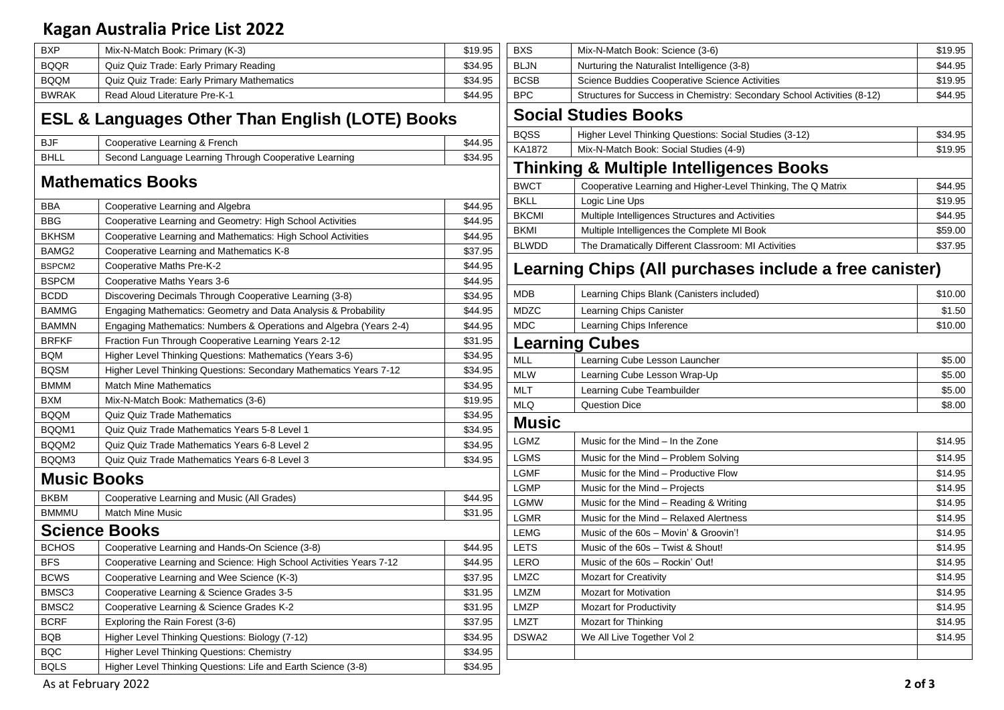## **Kagan Australia Price List 2022**

| <b>BXP</b>        | Mix-N-Match Book: Primary (K-3)                                     | \$19.95 |
|-------------------|---------------------------------------------------------------------|---------|
| <b>BQQR</b>       | Quiz Quiz Trade: Early Primary Reading                              | \$34.95 |
| <b>BQQM</b>       | Quiz Quiz Trade: Early Primary Mathematics                          | \$34.95 |
| <b>BWRAK</b>      | Read Aloud Literature Pre-K-1                                       | \$44.95 |
|                   | <b>ESL &amp; Languages Other Than English (LOTE) Books</b>          |         |
| <b>BJF</b>        | Cooperative Learning & French                                       | \$44.95 |
| <b>BHLL</b>       | Second Language Learning Through Cooperative Learning               | \$34.95 |
|                   | <b>Mathematics Books</b>                                            |         |
| BBA               | Cooperative Learning and Algebra                                    | \$44.95 |
| BBG               | Cooperative Learning and Geometry: High School Activities           | \$44.95 |
| <b>BKHSM</b>      | Cooperative Learning and Mathematics: High School Activities        | \$44.95 |
| BAMG2             | Cooperative Learning and Mathematics K-8                            | \$37.95 |
| BSPCM2            | Cooperative Maths Pre-K-2                                           | \$44.95 |
| <b>BSPCM</b>      | Cooperative Maths Years 3-6                                         | \$44.95 |
| <b>BCDD</b>       | Discovering Decimals Through Cooperative Learning (3-8)             | \$34.95 |
| <b>BAMMG</b>      | Engaging Mathematics: Geometry and Data Analysis & Probability      | \$44.95 |
| <b>BAMMN</b>      | Engaging Mathematics: Numbers & Operations and Algebra (Years 2-4)  | \$44.95 |
| <b>BRFKF</b>      | Fraction Fun Through Cooperative Learning Years 2-12                | \$31.95 |
| <b>BQM</b>        | Higher Level Thinking Questions: Mathematics (Years 3-6)            | \$34.95 |
| <b>BQSM</b>       | Higher Level Thinking Questions: Secondary Mathematics Years 7-12   | \$34.95 |
| <b>BMMM</b>       | <b>Match Mine Mathematics</b>                                       | \$34.95 |
| <b>BXM</b>        | Mix-N-Match Book: Mathematics (3-6)                                 | \$19.95 |
| <b>BQQM</b>       | <b>Quiz Quiz Trade Mathematics</b>                                  | \$34.95 |
| BQQM1             | Quiz Quiz Trade Mathematics Years 5-8 Level 1                       | \$34.95 |
| BQQM2             | Quiz Quiz Trade Mathematics Years 6-8 Level 2                       | \$34.95 |
| BQQM3             | Quiz Quiz Trade Mathematics Years 6-8 Level 3                       | \$34.95 |
|                   | <b>Music Books</b>                                                  |         |
| <b>BKBM</b>       | Cooperative Learning and Music (All Grades)                         | \$44.95 |
| <b>BMMMU</b>      | <b>Match Mine Music</b>                                             | \$31.95 |
|                   | <b>Science Books</b>                                                |         |
| <b>BCHOS</b>      | Cooperative Learning and Hands-On Science (3-8)                     | \$44.95 |
| <b>BFS</b>        | Cooperative Learning and Science: High School Activities Years 7-12 | \$44.95 |
| <b>BCWS</b>       | Cooperative Learning and Wee Science (K-3)                          | \$37.95 |
| BMSC <sub>3</sub> | Cooperative Learning & Science Grades 3-5                           | \$31.95 |
| BMSC2             | Cooperative Learning & Science Grades K-2                           | \$31.95 |
| <b>BCRF</b>       | Exploring the Rain Forest (3-6)                                     | \$37.95 |
| BQB               | Higher Level Thinking Questions: Biology (7-12)                     | \$34.95 |
| BQC               | <b>Higher Level Thinking Questions: Chemistry</b>                   | \$34.95 |
| <b>BQLS</b>       | Higher Level Thinking Questions: Life and Earth Science (3-8)       | \$34.95 |

| <b>BXS</b>   | Mix-N-Match Book: Science (3-6)                                         | \$19.95 |
|--------------|-------------------------------------------------------------------------|---------|
| <b>BLJN</b>  | Nurturing the Naturalist Intelligence (3-8)                             | \$44.95 |
| <b>BCSB</b>  | Science Buddies Cooperative Science Activities                          | \$19.95 |
| <b>BPC</b>   | Structures for Success in Chemistry: Secondary School Activities (8-12) | \$44.95 |
|              | <b>Social Studies Books</b>                                             |         |
| <b>BQSS</b>  | Higher Level Thinking Questions: Social Studies (3-12)                  | \$34.95 |
| KA1872       | Mix-N-Match Book: Social Studies (4-9)                                  | \$19.95 |
|              | <b>Thinking &amp; Multiple Intelligences Books</b>                      |         |
| <b>BWCT</b>  | Cooperative Learning and Higher-Level Thinking, The Q Matrix            | \$44.95 |
| <b>BKLL</b>  | Logic Line Ups                                                          | \$19.95 |
| <b>BKCMI</b> | Multiple Intelligences Structures and Activities                        | \$44.95 |
| <b>BKMI</b>  | Multiple Intelligences the Complete MI Book                             | \$59.00 |
| <b>BLWDD</b> | The Dramatically Different Classroom: MI Activities                     | \$37.95 |
|              | Learning Chips (All purchases include a free canister)                  |         |
| <b>MDB</b>   | Learning Chips Blank (Canisters included)                               | \$10.00 |
| <b>MDZC</b>  | Learning Chips Canister                                                 | \$1.50  |
| <b>MDC</b>   | Learning Chips Inference                                                | \$10.00 |
|              | <b>Learning Cubes</b>                                                   |         |
| <b>MLL</b>   | Learning Cube Lesson Launcher                                           | \$5.00  |
| <b>MLW</b>   | Learning Cube Lesson Wrap-Up                                            | \$5.00  |
| <b>MLT</b>   | Learning Cube Teambuilder                                               | \$5.00  |
| <b>MLQ</b>   | <b>Question Dice</b>                                                    | \$8.00  |
| <b>Music</b> |                                                                         |         |
| LGMZ         | Music for the Mind – In the Zone                                        | \$14.95 |
| LGMS         | Music for the Mind – Problem Solving                                    | \$14.95 |
| <b>LGMF</b>  | Music for the Mind - Productive Flow                                    | \$14.95 |
| <b>LGMP</b>  | Music for the Mind - Projects                                           | \$14.95 |
| LGMW         | Music for the Mind – Reading & Writing                                  | \$14.95 |
| <b>LGMR</b>  | Music for the Mind - Relaxed Alertness                                  | \$14.95 |
| <b>LEMG</b>  | Music of the 60s - Movin' & Groovin'!                                   | \$14.95 |
| <b>LETS</b>  | Music of the 60s - Twist & Shout!                                       | \$14.95 |
| LERO         | Music of the 60s - Rockin' Out!                                         | \$14.95 |
| LMZC         | <b>Mozart for Creativity</b>                                            | \$14.95 |
| <b>LMZM</b>  | <b>Mozart for Motivation</b>                                            | \$14.95 |
| <b>LMZP</b>  | <b>Mozart for Productivity</b>                                          | \$14.95 |
| LMZT         | Mozart for Thinking                                                     | \$14.95 |
| DSWA2        | We All Live Together Vol 2                                              | \$14.95 |
|              |                                                                         |         |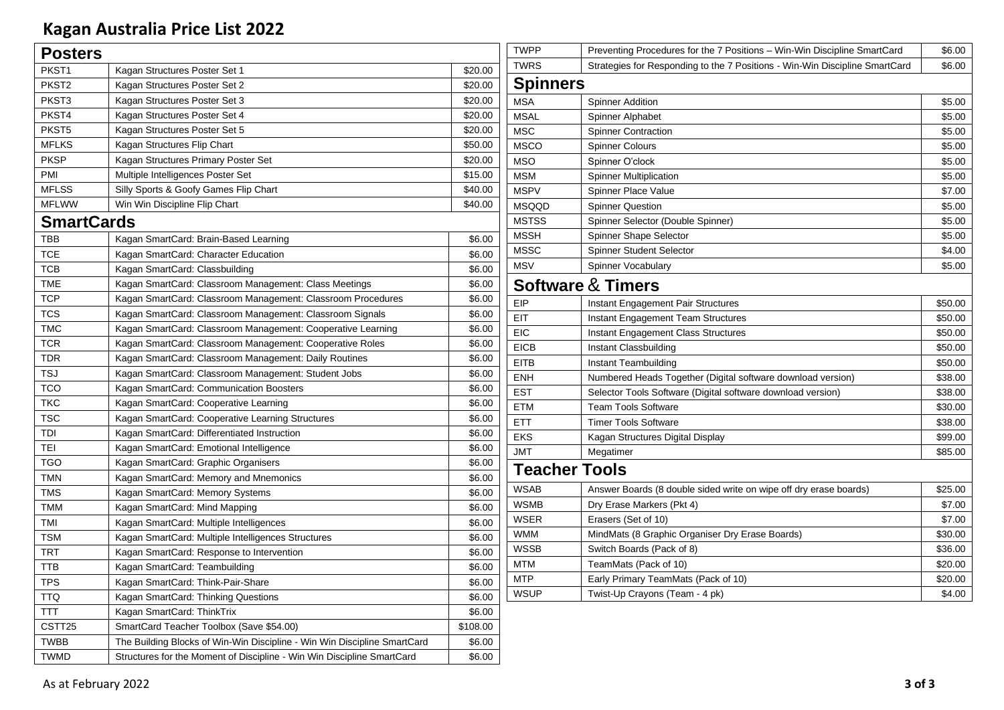## **Kagan Australia Price List 2022**

| <b>Posters</b>     |                                                                          |          |
|--------------------|--------------------------------------------------------------------------|----------|
| PKST <sub>1</sub>  | Kagan Structures Poster Set 1                                            | \$20.00  |
| PKST <sub>2</sub>  | Kagan Structures Poster Set 2                                            | \$20.00  |
| PKST3              | Kagan Structures Poster Set 3                                            | \$20.00  |
| PKST4              | Kagan Structures Poster Set 4                                            | \$20.00  |
| PKST <sub>5</sub>  | Kagan Structures Poster Set 5                                            | \$20.00  |
| <b>MFLKS</b>       | Kagan Structures Flip Chart                                              | \$50.00  |
| <b>PKSP</b>        | Kagan Structures Primary Poster Set                                      | \$20.00  |
| PMI                | Multiple Intelligences Poster Set                                        | \$15.00  |
| <b>MFLSS</b>       | Silly Sports & Goofy Games Flip Chart                                    | \$40.00  |
| <b>MFLWW</b>       | Win Win Discipline Flip Chart                                            | \$40.00  |
| <b>SmartCards</b>  |                                                                          |          |
| <b>TBB</b>         | Kagan SmartCard: Brain-Based Learning                                    | \$6.00   |
| <b>TCE</b>         | Kagan SmartCard: Character Education                                     | \$6.00   |
| TCB                | Kagan SmartCard: Classbuilding                                           | \$6.00   |
| <b>TME</b>         | Kagan SmartCard: Classroom Management: Class Meetings                    | \$6.00   |
| <b>TCP</b>         | Kagan SmartCard: Classroom Management: Classroom Procedures              | \$6.00   |
| <b>TCS</b>         | Kagan SmartCard: Classroom Management: Classroom Signals                 | \$6.00   |
| <b>TMC</b>         | Kagan SmartCard: Classroom Management: Cooperative Learning              | \$6.00   |
| <b>TCR</b>         | Kagan SmartCard: Classroom Management: Cooperative Roles                 | \$6.00   |
| TDR                | Kagan SmartCard: Classroom Management: Daily Routines                    | \$6.00   |
| <b>TSJ</b>         | Kagan SmartCard: Classroom Management: Student Jobs                      | \$6.00   |
| <b>TCO</b>         | Kagan SmartCard: Communication Boosters                                  | \$6.00   |
| <b>TKC</b>         | Kagan SmartCard: Cooperative Learning                                    | \$6.00   |
| <b>TSC</b>         | Kagan SmartCard: Cooperative Learning Structures                         | \$6.00   |
| TDI                | Kagan SmartCard: Differentiated Instruction                              | \$6.00   |
| TEI                | Kagan SmartCard: Emotional Intelligence                                  | \$6.00   |
| <b>TGO</b>         | Kagan SmartCard: Graphic Organisers                                      | \$6.00   |
| <b>TMN</b>         | Kagan SmartCard: Memory and Mnemonics                                    | \$6.00   |
| <b>TMS</b>         | Kagan SmartCard: Memory Systems                                          | \$6.00   |
| TMM                | Kagan SmartCard: Mind Mapping                                            | \$6.00   |
| <b>TMI</b>         | Kagan SmartCard: Multiple Intelligences                                  | \$6.00   |
| <b>TSM</b>         | Kagan SmartCard: Multiple Intelligences Structures                       | \$6.00   |
| <b>TRT</b>         | Kagan SmartCard: Response to Intervention                                | \$6.00   |
| <b>TTB</b>         | Kagan SmartCard: Teambuilding                                            | \$6.00   |
| <b>TPS</b>         | Kagan SmartCard: Think-Pair-Share                                        | \$6.00   |
| <b>TTQ</b>         | Kagan SmartCard: Thinking Questions                                      | \$6.00   |
| <b>TTT</b>         | Kagan SmartCard: ThinkTrix                                               | \$6.00   |
| CSTT <sub>25</sub> | SmartCard Teacher Toolbox (Save \$54.00)                                 | \$108.00 |
| <b>TWBB</b>        | The Building Blocks of Win-Win Discipline - Win Win Discipline SmartCard | \$6.00   |
| <b>TWMD</b>        | Structures for the Moment of Discipline - Win Win Discipline SmartCard   | \$6.00   |

| TWPP                 | Preventing Procedures for the 7 Positions - Win-Win Discipline SmartCard    | \$6.00  |
|----------------------|-----------------------------------------------------------------------------|---------|
| <b>TWRS</b>          | Strategies for Responding to the 7 Positions - Win-Win Discipline SmartCard | \$6.00  |
| Spinners             |                                                                             |         |
| MSA                  | <b>Spinner Addition</b>                                                     | \$5.00  |
| MSAL                 | Spinner Alphabet                                                            | \$5.00  |
| MSC                  | <b>Spinner Contraction</b>                                                  | \$5.00  |
| MSCO                 | <b>Spinner Colours</b>                                                      | \$5.00  |
| MSO                  | Spinner O'clock                                                             | \$5.00  |
| MSM                  | <b>Spinner Multiplication</b>                                               | \$5.00  |
| MSPV                 | Spinner Place Value                                                         | \$7.00  |
| MSQQD                | <b>Spinner Question</b>                                                     | \$5.00  |
| MSTSS                | Spinner Selector (Double Spinner)                                           | \$5.00  |
| MSSH                 | Spinner Shape Selector                                                      | \$5.00  |
| MSSC                 | <b>Spinner Student Selector</b>                                             | \$4.00  |
| <b>MSV</b>           | Spinner Vocabulary                                                          | \$5.00  |
|                      | Software&Timers                                                             |         |
| EIP                  | Instant Engagement Pair Structures                                          | \$50.00 |
| EIT                  | Instant Engagement Team Structures                                          | \$50.00 |
| EIC                  | Instant Engagement Class Structures                                         | \$50.00 |
| EICB                 | Instant Classbuilding                                                       | \$50.00 |
| EITB                 | Instant Teambuilding                                                        | \$50.00 |
| ENH                  | Numbered Heads Together (Digital software download version)                 | \$38.00 |
| EST                  | Selector Tools Software (Digital software download version)                 | \$38.00 |
| ETM                  | <b>Team Tools Software</b>                                                  | \$30.00 |
| ETT                  | <b>Timer Tools Software</b>                                                 | \$38.00 |
| EKS                  | Kagan Structures Digital Display                                            | \$99.00 |
| <b>JMT</b>           | Megatimer                                                                   | \$85.00 |
| <b>Teacher Tools</b> |                                                                             |         |
| WSAB                 | Answer Boards (8 double sided write on wipe off dry erase boards)           | \$25.00 |
| WSMB                 | Dry Erase Markers (Pkt 4)                                                   | \$7.00  |
| WSER                 | Erasers (Set of 10)                                                         | \$7.00  |
| WMM                  | MindMats (8 Graphic Organiser Dry Erase Boards)                             | \$30.00 |
| WSSB                 | Switch Boards (Pack of 8)                                                   | \$36.00 |
| MTM                  | TeamMats (Pack of 10)                                                       | \$20.00 |
| MTP                  | Early Primary TeamMats (Pack of 10)                                         | \$20.00 |
| <b>WSUP</b>          | Twist-Up Crayons (Team - 4 pk)                                              | \$4.00  |
|                      |                                                                             |         |